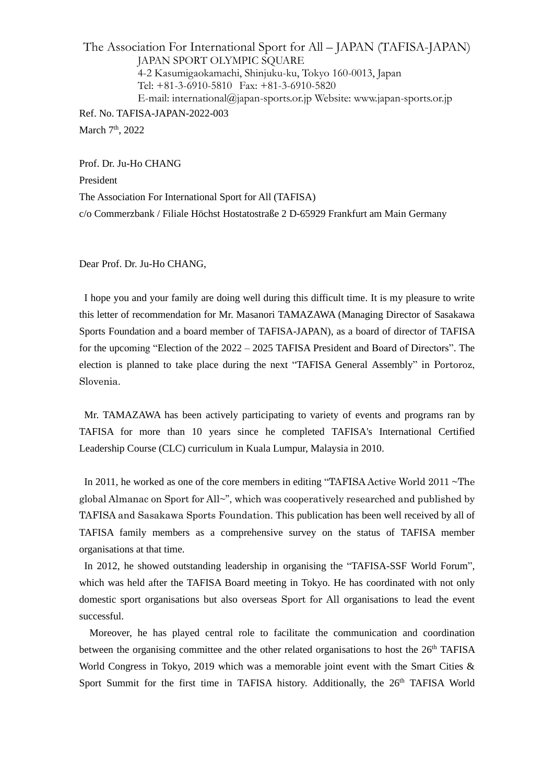The Association For International Sport for All – JAPAN (TAFISA-JAPAN) JAPAN SPORT OLYMPIC SQUARE 4-2 Kasumigaokamachi, Shinjuku-ku, Tokyo 160-0013, Japan Tel: +81-3-6910-5810 Fax: +81-3-6910-5820 E-mail: international@japan-sports.or.jp Website: www.japan-sports.or.jp Ref. No. TAFISA-JAPAN-2022-003 March 7<sup>th</sup>, 2022

Prof. Dr. Ju-Ho CHANG President The Association For International Sport for All (TAFISA) c/o Commerzbank / Filiale Höchst Hostatostraße 2 D-65929 Frankfurt am Main Germany

Dear Prof. Dr. Ju-Ho CHANG,

I hope you and your family are doing well during this difficult time. It is my pleasure to write this letter of recommendation for Mr. Masanori TAMAZAWA (Managing Director of Sasakawa Sports Foundation and a board member of TAFISA-JAPAN), as a board of director of TAFISA for the upcoming "Election of the 2022 – 2025 TAFISA President and Board of Directors". The election is planned to take place during the next "TAFISA General Assembly" in Portoroz, Slovenia.

Mr. TAMAZAWA has been actively participating to variety of events and programs ran by TAFISA for more than 10 years since he completed TAFISA's International Certified Leadership Course (CLC) curriculum in Kuala Lumpur, Malaysia in 2010.

In 2011, he worked as one of the core members in editing "TAFISA Active World 2011 ~The global Almanac on Sport for All~", which was cooperatively researched and published by TAFISA and Sasakawa Sports Foundation. This publication has been well received by all of TAFISA family members as a comprehensive survey on the status of TAFISA member organisations at that time.

In 2012, he showed outstanding leadership in organising the "TAFISA-SSF World Forum", which was held after the TAFISA Board meeting in Tokyo. He has coordinated with not only domestic sport organisations but also overseas Sport for All organisations to lead the event successful.

Moreover, he has played central role to facilitate the communication and coordination between the organising committee and the other related organisations to host the 26<sup>th</sup> TAFISA World Congress in Tokyo, 2019 which was a memorable joint event with the Smart Cities & Sport Summit for the first time in TAFISA history. Additionally, the 26<sup>th</sup> TAFISA World